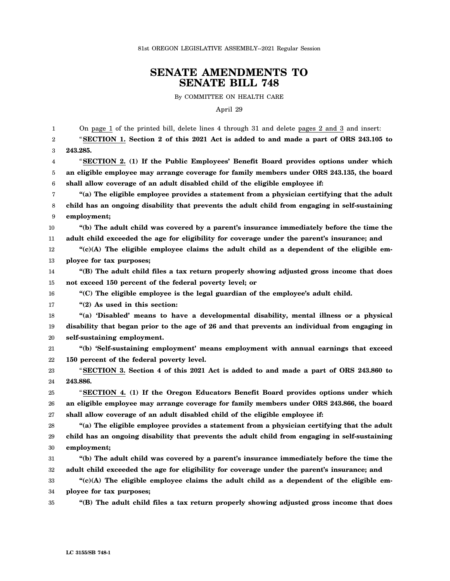## **SENATE AMENDMENTS TO SENATE BILL 748**

By COMMITTEE ON HEALTH CARE

April 29

1 2 3 4 5 6 7 8 9 10 11 12 13 14 15 16 17 18 19 20 21 22 23 24 25 26 27 28 29 30 31 32 33 34 35 On page 1 of the printed bill, delete lines 4 through 31 and delete pages 2 and 3 and insert: "**SECTION 1. Section 2 of this 2021 Act is added to and made a part of ORS 243.105 to 243.285.** "**SECTION 2. (1) If the Public Employees' Benefit Board provides options under which an eligible employee may arrange coverage for family members under ORS 243.135, the board shall allow coverage of an adult disabled child of the eligible employee if: "(a) The eligible employee provides a statement from a physician certifying that the adult child has an ongoing disability that prevents the adult child from engaging in self-sustaining employment; "(b) The adult child was covered by a parent's insurance immediately before the time the adult child exceeded the age for eligibility for coverage under the parent's insurance; and "(c)(A) The eligible employee claims the adult child as a dependent of the eligible employee for tax purposes; "(B) The adult child files a tax return properly showing adjusted gross income that does not exceed 150 percent of the federal poverty level; or "(C) The eligible employee is the legal guardian of the employee's adult child. "(2) As used in this section: "(a) 'Disabled' means to have a developmental disability, mental illness or a physical disability that began prior to the age of 26 and that prevents an individual from engaging in self-sustaining employment. "(b) 'Self-sustaining employment' means employment with annual earnings that exceed 150 percent of the federal poverty level.** "**SECTION 3. Section 4 of this 2021 Act is added to and made a part of ORS 243.860 to 243.886.** "**SECTION 4. (1) If the Oregon Educators Benefit Board provides options under which an eligible employee may arrange coverage for family members under ORS 243.866, the board shall allow coverage of an adult disabled child of the eligible employee if: "(a) The eligible employee provides a statement from a physician certifying that the adult child has an ongoing disability that prevents the adult child from engaging in self-sustaining employment; "(b) The adult child was covered by a parent's insurance immediately before the time the adult child exceeded the age for eligibility for coverage under the parent's insurance; and "(c)(A) The eligible employee claims the adult child as a dependent of the eligible employee for tax purposes; "(B) The adult child files a tax return properly showing adjusted gross income that does**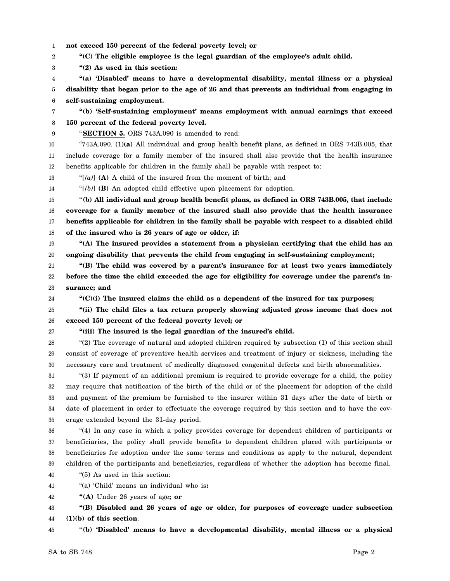- 1 **not exceed 150 percent of the federal poverty level; or**
- 2 **"(C) The eligible employee is the legal guardian of the employee's adult child.**
- 3 **"(2) As used in this section:**
- 4 5 6 **"(a) 'Disabled' means to have a developmental disability, mental illness or a physical disability that began prior to the age of 26 and that prevents an individual from engaging in self-sustaining employment.**
- 7 8 **"(b) 'Self-sustaining employment' means employment with annual earnings that exceed 150 percent of the federal poverty level.**
- 9

## "**SECTION 5.** ORS 743A.090 is amended to read:

10 11 12 "743A.090. (1)**(a)** All individual and group health benefit plans, as defined in ORS 743B.005, that include coverage for a family member of the insured shall also provide that the health insurance benefits applicable for children in the family shall be payable with respect to:

- 13 "[*(a)*] **(A)** A child of the insured from the moment of birth; and
- 14 "[*(b)*] **(B)** An adopted child effective upon placement for adoption.

15 16 17 18 "**(b) All individual and group health benefit plans, as defined in ORS 743B.005, that include coverage for a family member of the insured shall also provide that the health insurance benefits applicable for children in the family shall be payable with respect to a disabled child of the insured who is 26 years of age or older, if:**

- 19 20 **"(A) The insured provides a statement from a physician certifying that the child has an ongoing disability that prevents the child from engaging in self-sustaining employment;**
- 21 22 23 **"(B) The child was covered by a parent's insurance for at least two years immediately before the time the child exceeded the age for eligibility for coverage under the parent's insurance; and**

24 **"(C)(i) The insured claims the child as a dependent of the insured for tax purposes;**

- 25 26 **"(ii) The child files a tax return properly showing adjusted gross income that does not exceed 150 percent of the federal poverty level; or**
- 27

## **"(iii) The insured is the legal guardian of the insured's child.**

28 29 30 "(2) The coverage of natural and adopted children required by subsection (1) of this section shall consist of coverage of preventive health services and treatment of injury or sickness, including the necessary care and treatment of medically diagnosed congenital defects and birth abnormalities.

31 32 33 34 35 "(3) If payment of an additional premium is required to provide coverage for a child, the policy may require that notification of the birth of the child or of the placement for adoption of the child and payment of the premium be furnished to the insurer within 31 days after the date of birth or date of placement in order to effectuate the coverage required by this section and to have the coverage extended beyond the 31-day period.

36 37 38 39 "(4) In any case in which a policy provides coverage for dependent children of participants or beneficiaries, the policy shall provide benefits to dependent children placed with participants or beneficiaries for adoption under the same terms and conditions as apply to the natural, dependent children of the participants and beneficiaries, regardless of whether the adoption has become final.

40 "(5) As used in this section:

41 "(a) 'Child' means an individual who is**:**

42 **"(A)** Under 26 years of age**; or**

43 44 **"(B) Disabled and 26 years of age or older, for purposes of coverage under subsection (1)(b) of this section**.

45 "**(b) 'Disabled' means to have a developmental disability, mental illness or a physical**